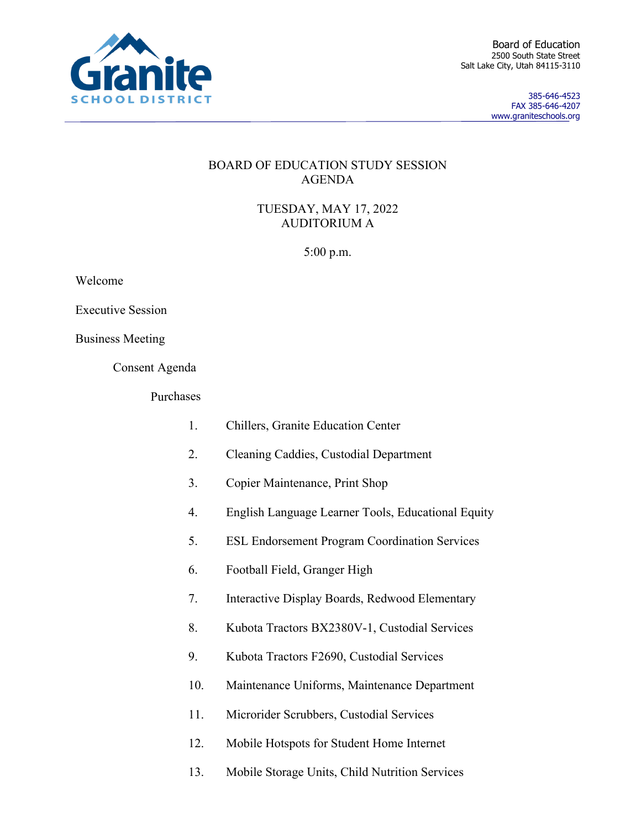

385-646-4523 FAX 385-646-4207 www.graniteschools.org

## BOARD OF EDUCATION STUDY SESSION AGENDA

TUESDAY, MAY 17, 2022 AUDITORIUM A

5:00 p.m.

Welcome

Executive Session

Business Meeting

Consent Agenda

Purchases

- 1. Chillers, Granite Education Center
- 2. Cleaning Caddies, Custodial Department
- 3. Copier Maintenance, Print Shop
- 4. English Language Learner Tools, Educational Equity
- 5. ESL Endorsement Program Coordination Services
- 6. Football Field, Granger High
- 7. Interactive Display Boards, Redwood Elementary
- 8. Kubota Tractors BX2380V-1, Custodial Services
- 9. Kubota Tractors F2690, Custodial Services
- 10. Maintenance Uniforms, Maintenance Department
- 11. Microrider Scrubbers, Custodial Services
- 12. Mobile Hotspots for Student Home Internet
- 13. Mobile Storage Units, Child Nutrition Services